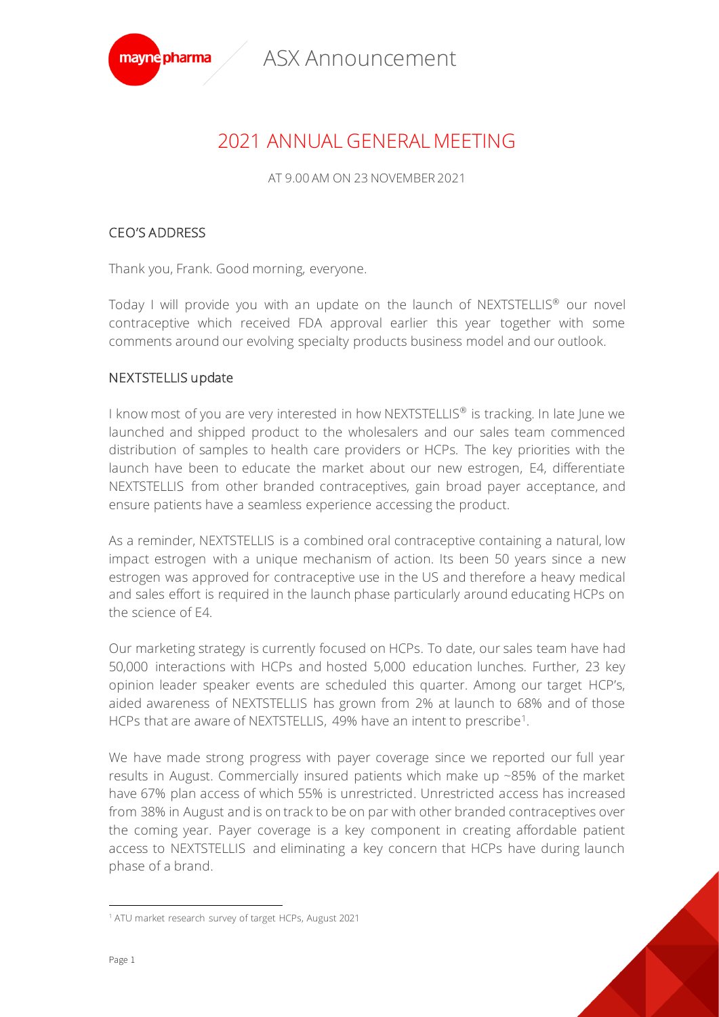

# 2021 ANNUAL GENERAL MEETING

AT 9.00 AM ON 23 NOVEMBER 2021

### CEO'S ADDRESS

Thank you, Frank. Good morning, everyone.

Today I will provide you with an update on the launch of NEXTSTELLIS<sup>®</sup> our novel contraceptive which received FDA approval earlier this year together with some comments around our evolving specialty products business model and our outlook.

## NEXTSTELLIS update

I know most of you are very interested in how NEXTSTELLIS<sup>®</sup> is tracking. In late June we launched and shipped product to the wholesalers and our sales team commenced distribution of samples to health care providers or HCPs. The key priorities with the launch have been to educate the market about our new estrogen, E4, differentiate NEXTSTELLIS from other branded contraceptives, gain broad payer acceptance, and ensure patients have a seamless experience accessing the product.

As a reminder, NEXTSTELLIS is a combined oral contraceptive containing a natural, low impact estrogen with a unique mechanism of action. Its been 50 years since a new estrogen was approved for contraceptive use in the US and therefore a heavy medical and sales effort is required in the launch phase particularly around educating HCPs on the science of E4.

Our marketing strategy is currently focused on HCPs. To date, our sales team have had 50,000 interactions with HCPs and hosted 5,000 education lunches. Further, 23 key opinion leader speaker events are scheduled this quarter. Among our target HCP's, aided awareness of NEXTSTELLIS has grown from 2% at launch to 68% and of those HCPs that are aware of NEXTSTELLIS, 49% have an intent to prescribe<sup>1</sup>.

We have made strong progress with payer coverage since we reported our full year results in August. Commercially insured patients which make up ~85% of the market have 67% plan access of which 55% is unrestricted. Unrestricted access has increased from 38% in August and is on track to be on par with other branded contraceptives over the coming year. Payer coverage is a key component in creating affordable patient access to NEXTSTELLIS and eliminating a key concern that HCPs have during launch phase of a brand.

<sup>1</sup> ATU market research survey of target HCPs, August 2021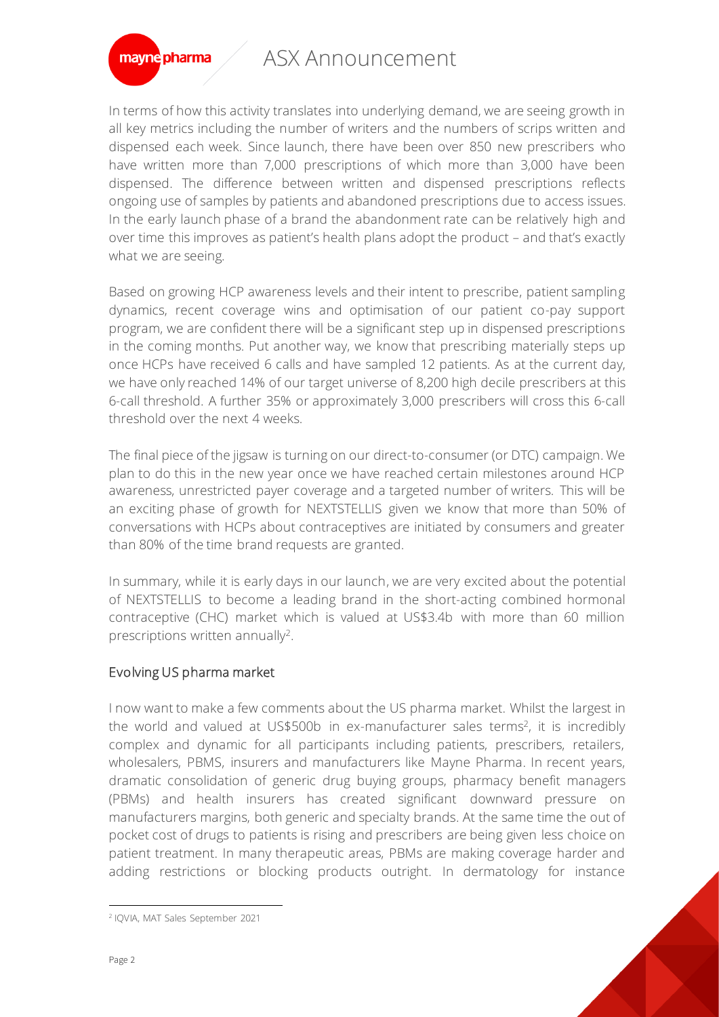

In terms of how this activity translates into underlying demand, we are seeing growth in all key metrics including the number of writers and the numbers of scrips written and dispensed each week. Since launch, there have been over 850 new prescribers who have written more than 7,000 prescriptions of which more than 3,000 have been dispensed. The difference between written and dispensed prescriptions reflects ongoing use of samples by patients and abandoned prescriptions due to access issues. In the early launch phase of a brand the abandonment rate can be relatively high and over time this improves as patient's health plans adopt the product – and that's exactly what we are seeing.

Based on growing HCP awareness levels and their intent to prescribe, patient sampling dynamics, recent coverage wins and optimisation of our patient co-pay support program, we are confident there will be a significant step up in dispensed prescriptions in the coming months. Put another way, we know that prescribing materially steps up once HCPs have received 6 calls and have sampled 12 patients. As at the current day, we have only reached 14% of our target universe of 8,200 high decile prescribers at this 6-call threshold. A further 35% or approximately 3,000 prescribers will cross this 6-call threshold over the next 4 weeks.

The final piece of the jigsaw is turning on our direct-to-consumer (or DTC) campaign. We plan to do this in the new year once we have reached certain milestones around HCP awareness, unrestricted payer coverage and a targeted number of writers. This will be an exciting phase of growth for NEXTSTELLIS given we know that more than 50% of conversations with HCPs about contraceptives are initiated by consumers and greater than 80% of the time brand requests are granted.

In summary, while it is early days in our launch, we are very excited about the potential of NEXTSTELLIS to become a leading brand in the short-acting combined hormonal contraceptive (CHC) market which is valued at US\$3.4b with more than 60 million prescriptions written annually<sup>2</sup>.

## Evolving US pharma market

I now want to make a few comments about the US pharma market. Whilst the largest in the world and valued at US\$500b in ex-manufacturer sales terms<sup>2</sup>, it is incredibly complex and dynamic for all participants including patients, prescribers, retailers, wholesalers, PBMS, insurers and manufacturers like Mayne Pharma. In recent years, dramatic consolidation of generic drug buying groups, pharmacy benefit managers (PBMs) and health insurers has created significant downward pressure on manufacturers margins, both generic and specialty brands. At the same time the out of pocket cost of drugs to patients is rising and prescribers are being given less choice on patient treatment. In many therapeutic areas, PBMs are making coverage harder and adding restrictions or blocking products outright. In dermatology for instance

<sup>2</sup> IQVIA, MAT Sales September 2021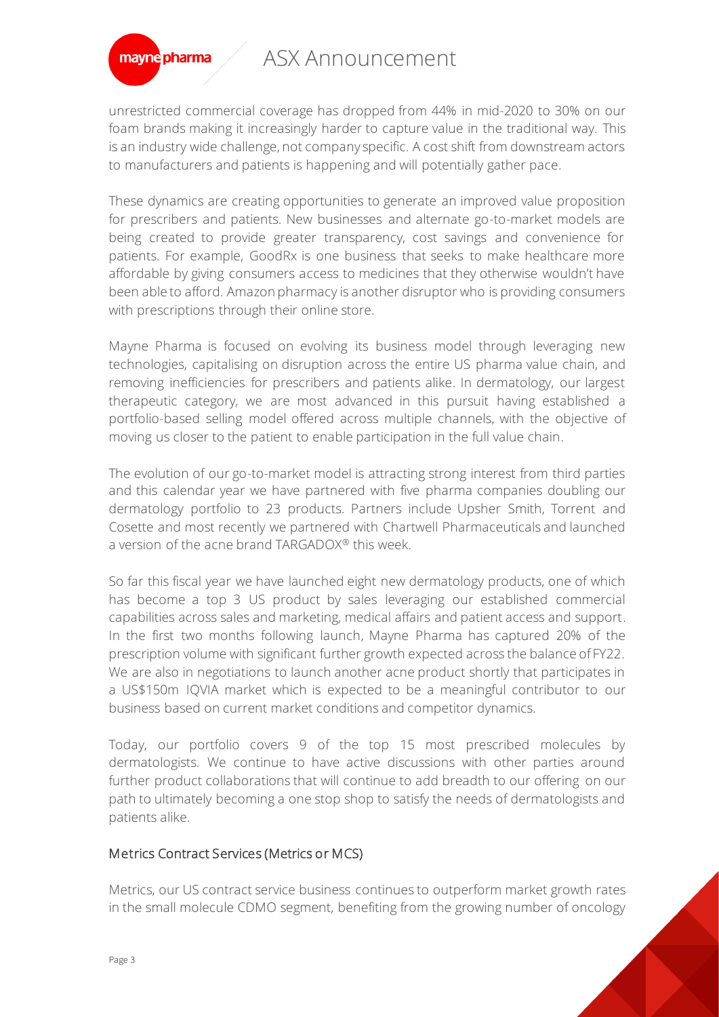

unrestricted commercial coverage has dropped from 44% in mid-2020 to 30% on our foam brands making it increasingly harder to capture value in the traditional way. This is an industry wide challenge, not company specific. A cost shift from downstream actors to manufacturers and patients is happening and will potentially gather pace.

These dynamics are creating opportunities to generate an improved value proposition for prescribers and patients. New businesses and alternate go-to-market models are being created to provide greater transparency, cost savings and convenience for patients. For example, GoodRx is one business that seeks to make healthcare more affordable by giving consumers access to medicines that they otherwise wouldn't have been able to afford. Amazon pharmacy is another disruptor who is providing consumers with prescriptions through their online store.

Mayne Pharma is focused on evolving its business model through leveraging new technologies, capitalising on disruption across the entire US pharma value chain, and removing inefficiencies for prescribers and patients alike. In dermatology, our largest therapeutic category, we are most advanced in this pursuit having established a portfolio-based selling model offered across multiple channels, with the objective of moving us closer to the patient to enable participation in the full value chain.

The evolution of our go-to-market model is attracting strong interest from third parties and this calendar year we have partnered with five pharma companies doubling our dermatology portfolio to 23 products. Partners include Upsher Smith, Torrent and Cosette and most recently we partnered with Chartwell Pharmaceuticals and launched a version of the acne brand TARGADOX® this week.

So far this fiscal year we have launched eight new dermatology products, one of which has become a top 3 US product by sales leveraging our established commercial capabilities across sales and marketing, medical affairs and patient access and support. In the first two months following launch, Mayne Pharma has captured 20% of the prescription volume with significant further growth expected across the balance of FY22. We are also in negotiations to launch another acne product shortly that participates in a US\$150m IQVIA market which is expected to be a meaningful contributor to our business based on current market conditions and competitor dynamics.

Today, our portfolio covers 9 of the top 15 most prescribed molecules by dermatologists. We continue to have active discussions with other parties around further product collaborations that will continue to add breadth to our offering on our path to ultimately becoming a one stop shop to satisfy the needs of dermatologists and patients alike.

#### Metrics Contract Services (Metrics or MCS)

Metrics, our US contract service business continues to outperform market growth rates in the small molecule CDMO segment, benefiting from the growing number of oncology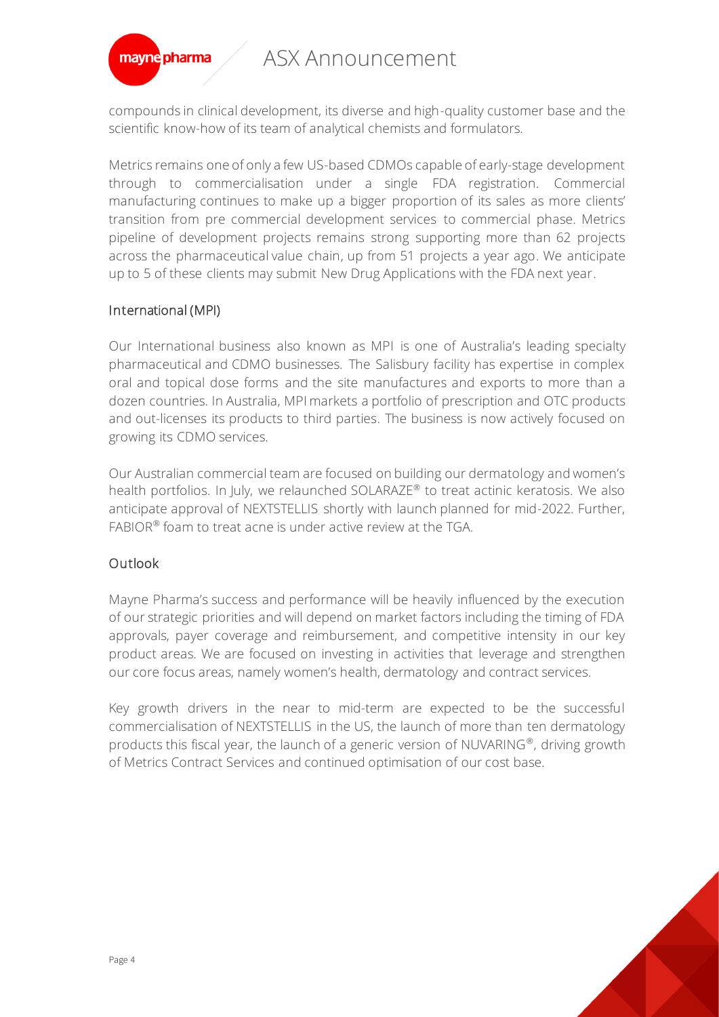

compounds in clinical development, its diverse and high-quality customer base and the scientific know-how of its team of analytical chemists and formulators.

Metrics remains one of only a few US-based CDMOs capable of early-stage development through to commercialisation under a single FDA registration. Commercial manufacturing continues to make up a bigger proportion of its sales as more clients' transition from pre commercial development services to commercial phase. Metrics pipeline of development projects remains strong supporting more than 62 projects across the pharmaceutical value chain, up from 51 projects a year ago. We anticipate up to 5 of these clients may submit New Drug Applications with the FDA next year.

### International (MPI)

Our International business also known as MPI is one of Australia's leading specialty pharmaceutical and CDMO businesses. The Salisbury facility has expertise in complex oral and topical dose forms and the site manufactures and exports to more than a dozen countries. In Australia, MPI markets a portfolio of prescription and OTC products and out-licenses its products to third parties. The business is now actively focused on growing its CDMO services.

Our Australian commercial team are focused on building our dermatology and women's health portfolios. In July, we relaunched SOLARAZE<sup>®</sup> to treat actinic keratosis. We also anticipate approval of NEXTSTELLIS shortly with launch planned for mid-2022. Further,  $FABIOR^{\otimes}$  foam to treat acne is under active review at the TGA.

## **Outlook**

Mayne Pharma's success and performance will be heavily influenced by the execution of our strategic priorities and will depend on market factors including the timing of FDA approvals, payer coverage and reimbursement, and competitive intensity in our key product areas. We are focused on investing in activities that leverage and strengthen our core focus areas, namely women's health, dermatology and contract services.

Key growth drivers in the near to mid-term are expected to be the successful commercialisation of NEXTSTELLIS in the US, the launch of more than ten dermatology products this fiscal year, the launch of a generic version of NUVARING®, driving growth of Metrics Contract Services and continued optimisation of our cost base.